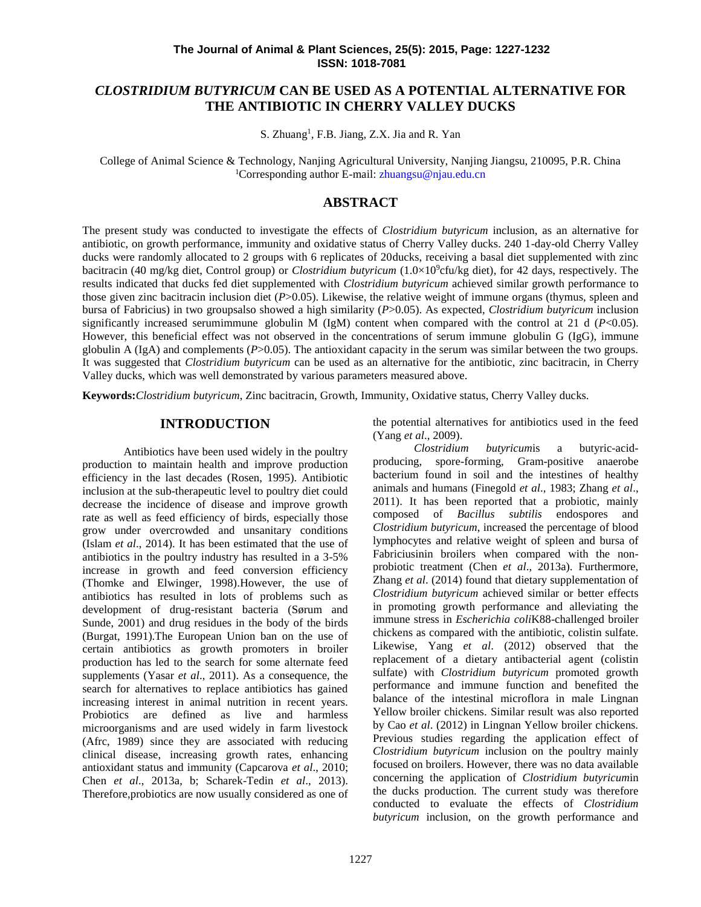# *CLOSTRIDIUM BUTYRICUM* **CAN BE USED AS A POTENTIAL ALTERNATIVE FOR THE ANTIBIOTIC IN CHERRY VALLEY DUCKS**

S. Zhuang<sup>1</sup>, F.B. Jiang, Z.X. Jia and R. Yan

College of Animal Science & Technology, Nanjing Agricultural University, Nanjing Jiangsu, 210095, P.R. China <sup>1</sup>Corresponding author E-mail: zhuangsu@njau.edu.cn

### **ABSTRACT**

The present study was conducted to investigate the effects of *Clostridium butyricum* inclusion, as an alternative for antibiotic, on growth performance, immunity and oxidative status of Cherry Valley ducks. 240 1-day-old Cherry Valley ducks were randomly allocated to 2 groups with 6 replicates of 20ducks, receiving a basal diet supplemented with zinc bacitracin (40 mg/kg diet, Control group) or *Clostridium butyricum* (1.0×10<sup>9</sup>cfu/kg diet), for 42 days, respectively. The results indicated that ducks fed diet supplemented with *Clostridium butyricum* achieved similar growth performance to those given zinc bacitracin inclusion diet (*P*>0.05). Likewise, the relative weight of immune organs (thymus, spleen and bursa of Fabricius) in two groupsalso showed a high similarity (*P*>0.05). As expected, *Clostridium butyricum* inclusion significantly increased serumimmune globulin M (IgM) content when compared with the control at 21 d ( $P<0.05$ ). However, this beneficial effect was not observed in the concentrations of serum immune globulin G (IgG), immune globulin A (IgA) and complements (*P*>0.05). The antioxidant capacity in the serum was similar between the two groups. It was suggested that *Clostridium butyricum* can be used as an alternative for the antibiotic, zinc bacitracin, in Cherry Valley ducks, which was well demonstrated by various parameters measured above.

**Keywords:***Clostridium butyricum*, Zinc bacitracin, Growth, Immunity, Oxidative status, Cherry Valley ducks.

#### **INTRODUCTION**

Antibiotics have been used widely in the poultry production to maintain health and improve production efficiency in the last decades (Rosen, 1995). Antibiotic inclusion at the sub-therapeutic level to poultry diet could decrease the incidence of disease and improve growth rate as well as feed efficiency of birds, especially those grow under overcrowded and unsanitary conditions (Islam *et al*., 2014). It has been estimated that the use of antibiotics in the poultry industry has resulted in a 3-5% increase in growth and feed conversion efficiency (Thomke and Elwinger, 1998).However, the use of antibiotics has resulted in lots of problems such as development of drug-resistant bacteria (Sørum and Sunde, 2001) and drug residues in the body of the birds (Burgat, 1991).The European Union ban on the use of certain antibiotics as growth promoters in broiler production has led to the search for some alternate feed supplements (Yasar *et al*., 2011). As a consequence, the search for alternatives to replace antibiotics has gained increasing interest in animal nutrition in recent years. Probiotics are defined as live and harmless microorganisms and are used widely in farm livestock (Afrc, 1989) since they are associated with reducing clinical disease, increasing growth rates, enhancing antioxidant status and immunity (Capcarova *et al*., 2010; Chen *et al*., 2013a, b; Scharek-Tedin *et al*., 2013). Therefore,probiotics are now usually considered as one of the potential alternatives for antibiotics used in the feed (Yang *et al*., 2009).

*Clostridium butyricum*is a butyric-acid producing, spore-forming, Gram-positive anaerobe bacterium found in soil and the intestines of healthy animals and humans (Finegold *et al*., 1983; Zhang *et al*., 2011). It has been reported that a probiotic, mainly composed of *Bacillus subtilis* endospores and *Clostridium butyricum*, increased the percentage of blood lymphocytes and relative weight of spleen and bursa of Fabriciusinin broilers when compared with the non probiotic treatment (Chen *et al*., 2013a). Furthermore, Zhang *et al*. (2014) found that dietary supplementation of *Clostridium butyricum* achieved similar or better effects in promoting growth performance and alleviating the immune stress in *Escherichia coli*K88-challenged broiler chickens as compared with the antibiotic, colistin sulfate. Likewise, Yang *et al*. (2012) observed that the replacement of a dietary antibacterial agent (colistin sulfate) with *Clostridium butyricum* promoted growth performance and immune function and benefited the balance of the intestinal microflora in male Lingnan Yellow broiler chickens. Similar result was also reported by Cao *et al*. (2012) in Lingnan Yellow broiler chickens. Previous studies regarding the application effect of *Clostridium butyricum* inclusion on the poultry mainly focused on broilers. However, there was no data available concerning the application of *Clostridium butyricum*in the ducks production. The current study was therefore conducted to evaluate the effects of *Clostridium butyricum* inclusion, on the growth performance and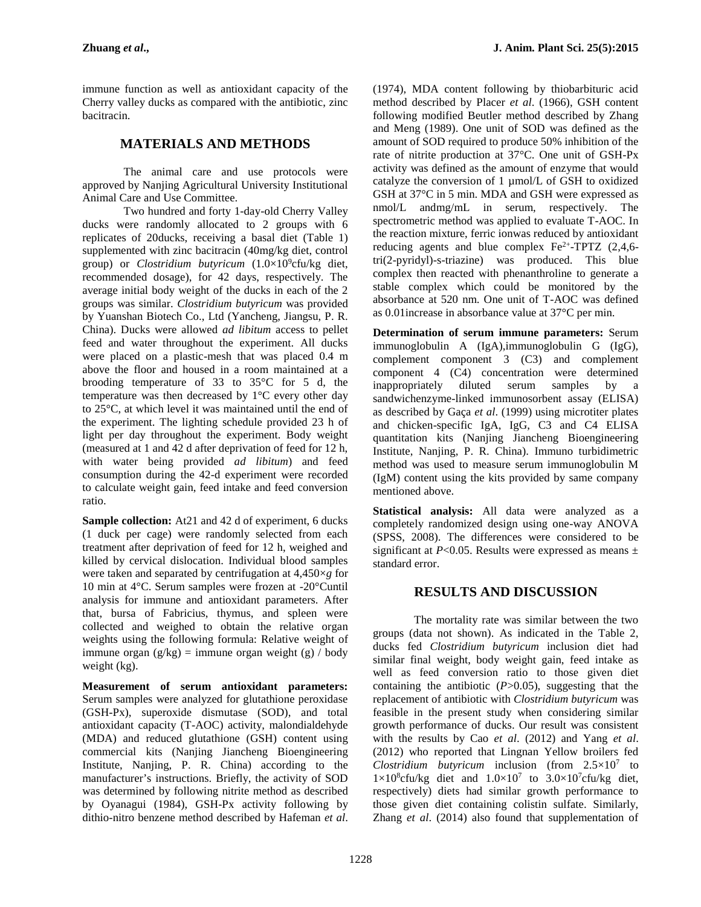immune function as well as antioxidant capacity of the Cherry valley ducks as compared with the antibiotic, zinc bacitracin.

# **MATERIALS AND METHODS**

The animal care and use protocols were approved by Nanjing Agricultural University Institutional Animal Care and Use Committee.

Two hundred and forty 1-day-old Cherry Valley ducks were randomly allocated to 2 groups with 6 replicates of 20ducks, receiving a basal diet (Table 1) supplemented with zinc bacitracin (40mg/kg diet, control group) or *Clostridium butyricum* (1.0×10<sup>9</sup>cfu/kg diet, recommended dosage), for 42 days, respectively. The average initial body weight of the ducks in each of the 2 groups was similar. *Clostridium butyricum* was provided by Yuanshan Biotech Co., Ltd (Yancheng, Jiangsu, P. R. China). Ducks were allowed *ad libitum* access to pellet feed and water throughout the experiment. All ducks were placed on a plastic-mesh that was placed 0.4 m above the floor and housed in a room maintained at a brooding temperature of 33 to 35°C for 5 d, the temperature was then decreased by 1°C every other day to 25°C, at which level it was maintained until the end of the experiment. The lighting schedule provided 23 h of light per day throughout the experiment. Body weight (measured at 1 and 42 d after deprivation of feed for 12 h, with water being provided *ad libitum*) and feed consumption during the 42-d experiment were recorded to calculate weight gain, feed intake and feed conversion ratio.

**Sample collection:** At21 and 42 d of experiment, 6 ducks (1 duck per cage) were randomly selected from each treatment after deprivation of feed for 12 h, weighed and killed by cervical dislocation. Individual blood samples were taken and separated by centrifugation at 4,450×*g* for 10 min at 4°C. Serum samples were frozen at -20°Cuntil analysis for immune and antioxidant parameters. After that, bursa of Fabricius, thymus, and spleen were collected and weighed to obtain the relative organ weights using the following formula: Relative weight of immune organ  $(g/kg)$  = immune organ weight (g) / body weight (kg).

**Measurement of serum antioxidant parameters:** Serum samples were analyzed for glutathione peroxidase (GSH-Px), superoxide dismutase (SOD), and total antioxidant capacity (T-AOC) activity, malondialdehyde (MDA) and reduced glutathione (GSH) content using commercial kits (Nanjing Jiancheng Bioengineering Institute, Nanjing, P. R. China) according to the manufacturer's instructions. Briefly, the activity of SOD was determined by following nitrite method as described by Oyanagui (1984), GSH-Px activity following by dithio-nitro benzene method described by Hafeman *et al*.

(1974), MDA content following by thiobarbituric acid method described by Placer *et al*. (1966), GSH content following modified Beutler method described by Zhang and Meng (1989). One unit of SOD was defined as the amount of SOD required to produce 50% inhibition of the rate of nitrite production at 37°C. One unit of GSH-Px activity was defined as the amount of enzyme that would catalyze the conversion of 1 µmol/L of GSH to oxidized GSH at 37°C in 5 min. MDA and GSH were expressed as nmol/L andmg/mL in serum, respectively. The spectrometric method was applied to evaluate T-AOC. In the reaction mixture, ferric ionwas reduced by antioxidant reducing agents and blue complex  $Fe^{2+}$ -TPTZ (2,4,6tri(2-pyridyl)-s-triazine) was produced. This blue complex then reacted with phenanthroline to generate a stable complex which could be monitored by the absorbance at 520 nm. One unit of T-AOC was defined as 0.01increase in absorbance value at 37°C per min.

**Determination of serum immune parameters:** Serum immunoglobulin A (IgA),immunoglobulin G (IgG), complement component 3 (C3) and complement component 4 (C4) concentration were determined inappropriately diluted serum samples by a sandwichenzyme-linked immunosorbent assay (ELISA) as described by Gaça *et al*. (1999) using microtiter plates and chicken-specific IgA, IgG, C3 and C4 ELISA quantitation kits (Nanjing Jiancheng Bioengineering Institute, Nanjing, P. R. China). Immuno turbidimetric method was used to measure serum immunoglobulin M (IgM) content using the kits provided by same company mentioned above.

**Statistical analysis:** All data were analyzed as a completely randomized design using one-way ANOVA (SPSS, 2008). The differences were considered to be significant at  $P<0.05$ . Results were expressed as means  $\pm$ standard error.

# **RESULTS AND DISCUSSION**

The mortality rate was similar between the two groups (data not shown). As indicated in the Table 2, ducks fed *Clostridium butyricum* inclusion diet had similar final weight, body weight gain, feed intake as well as feed conversion ratio to those given diet containing the antibiotic  $(P>0.05)$ , suggesting that the replacement of antibiotic with *Clostridium butyricum* was feasible in the present study when considering similar growth performance of ducks. Our result was consistent with the results by Cao *et al*. (2012) and Yang *et al*. (2012) who reported that Lingnan Yellow broilers fed Clostridium butyricum inclusion (from  $2.5 \times 10^7$  to  $1\times10^8$ cfu/kg diet and  $1.0\times10^7$  to  $3.0\times10^7$ cfu/kg diet, respectively) diets had similar growth performance to those given diet containing colistin sulfate. Similarly, Zhang *et al*. (2014) also found that supplementation of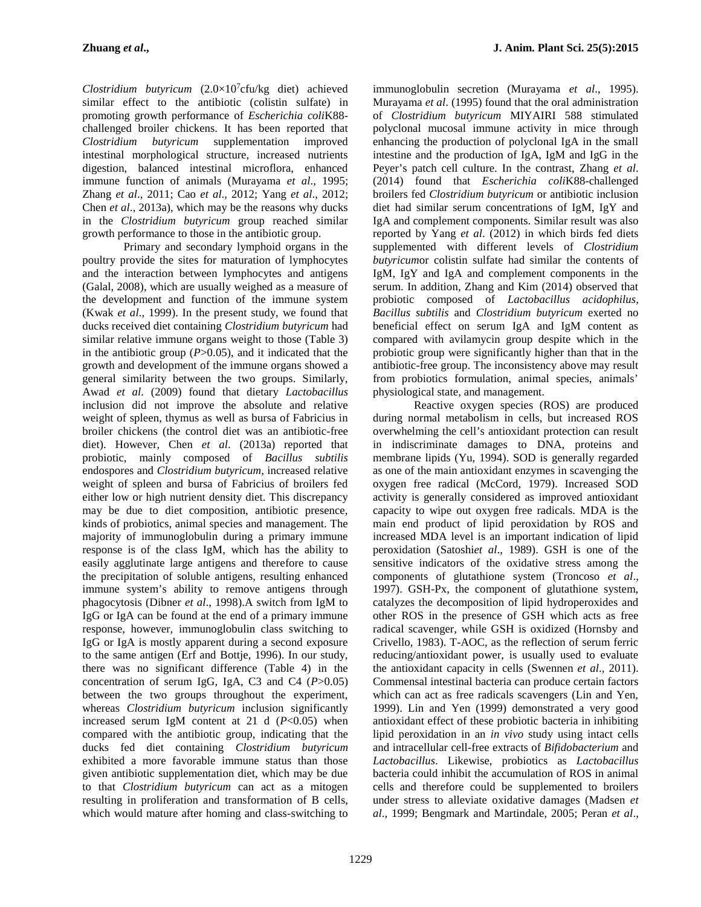*Clostridium butyricum* (2.0×10<sup>7</sup>cfu/kg diet) achieved similar effect to the antibiotic (colistin sulfate) in promoting growth performance of *Escherichia coli*K88 challenged broiler chickens. It has been reported that *Clostridium butyricum* supplementation improved intestinal morphological structure, increased nutrients digestion, balanced intestinal microflora, enhanced immune function of animals (Murayama *et al*., 1995; Zhang *et al*., 2011; Cao *et al*., 2012; Yang *et al*., 2012; Chen *et al*., 2013a), which may be the reasons why ducks in the *Clostridium butyricum* group reached similar growth performance to those in the antibiotic group.

Primary and secondary lymphoid organs in the poultry provide the sites for maturation of lymphocytes and the interaction between lymphocytes and antigens (Galal, 2008), which are usually weighed as a measure of the development and function of the immune system (Kwak *et al*., 1999). In the present study, we found that ducks received diet containing *Clostridium butyricum* had similar relative immune organs weight to those (Table 3) in the antibiotic group (*P*>0.05), and it indicated that the growth and development of the immune organs showed a general similarity between the two groups. Similarly, Awad *et al*. (2009) found that dietary *Lactobacillus* inclusion did not improve the absolute and relative weight of spleen, thymus as well as bursa of Fabricius in broiler chickens (the control diet was an antibiotic-free diet). However, Chen *et al*. (2013a) reported that probiotic, mainly composed of *Bacillus subtilis* endospores and *Clostridium butyricum*, increased relative weight of spleen and bursa of Fabricius of broilers fed either low or high nutrient density diet. This discrepancy may be due to diet composition, antibiotic presence, kinds of probiotics, animal species and management. The majority of immunoglobulin during a primary immune response is of the class IgM, which has the ability to easily agglutinate large antigens and therefore to cause the precipitation of soluble antigens, resulting enhanced immune system's ability to remove antigens through phagocytosis (Dibner *et al*., 1998).A switch from IgM to IgG or IgA can be found at the end of a primary immune response, however, immunoglobulin class switching to IgG or IgA is mostly apparent during a second exposure to the same antigen (Erf and Bottje, 1996). In our study, there was no significant difference (Table 4) in the concentration of serum IgG, IgA, C3 and C4 (*P*>0.05) between the two groups throughout the experiment, whereas *Clostridium butyricum* inclusion significantly increased serum IgM content at 21 d  $(P<0.05)$  when compared with the antibiotic group, indicating that the ducks fed diet containing *Clostridium butyricum* exhibited a more favorable immune status than those given antibiotic supplementation diet, which may be due to that *Clostridium butyricum* can act as a mitogen resulting in proliferation and transformation of B cells, which would mature after homing and class-switching to

immunoglobulin secretion (Murayama *et al*., 1995). Murayama *et al*. (1995) found that the oral administration of *Clostridium butyricum* MIYAIRI 588 stimulated polyclonal mucosal immune activity in mice through enhancing the production of polyclonal IgA in the small intestine and the production of IgA, IgM and IgG in the Peyer's patch cell culture. In the contrast, Zhang *et al*. (2014) found that *Escherichia coli*K88-challenged broilers fed *Clostridium butyricum* or antibiotic inclusion diet had similar serum concentrations of IgM, IgY and IgA and complement components. Similar result was also reported by Yang *et al*. (2012) in which birds fed diets supplemented with different levels of *Clostridium butyricum*or colistin sulfate had similar the contents of IgM, IgY and IgA and complement components in the serum. In addition, Zhang and Kim (2014) observed that probiotic composed of *Lactobacillus acidophilus*, *Bacillus subtilis* and *Clostridium butyricum* exerted no beneficial effect on serum IgA and IgM content as compared with avilamycin group despite which in the probiotic group were significantly higher than that in the antibiotic-free group. The inconsistency above may result from probiotics formulation, animal species, animals' physiological state, and management.

Reactive oxygen species (ROS) are produced during normal metabolism in cells, but increased ROS overwhelming the cell's antioxidant protection can result in indiscriminate damages to DNA, proteins and membrane lipids (Yu, 1994). SOD is generally regarded as one of the main antioxidant enzymes in scavenging the oxygen free radical (McCord, 1979). Increased SOD activity is generally considered as improved antioxidant capacity to wipe out oxygen free radicals. MDA is the main end product of lipid peroxidation by ROS and increased MDA level is an important indication of lipid peroxidation (Satoshi*et al*., 1989). GSH is one of the sensitive indicators of the oxidative stress among the components of glutathione system (Troncoso *et al*., 1997). GSH-Px, the component of glutathione system, catalyzes the decomposition of lipid hydroperoxides and other ROS in the presence of GSH which acts as free radical scavenger, while GSH is oxidized (Hornsby and Crivello, 1983). T-AOC, as the reflection of serum ferric reducing/antioxidant power, is usually used to evaluate the antioxidant capacity in cells (Swennen *et al*., 2011). Commensal intestinal bacteria can produce certain factors which can act as free radicals scavengers (Lin and Yen, 1999). Lin and Yen (1999) demonstrated a very good antioxidant effect of these probiotic bacteria in inhibiting lipid peroxidation in an *in vivo* study using intact cells and intracellular cell-free extracts of *Bifidobacterium* and *Lactobacillus*. Likewise, probiotics as *Lactobacillus* bacteria could inhibit the accumulation of ROS in animal cells and therefore could be supplemented to broilers under stress to alleviate oxidative damages (Madsen *et al*., 1999; Bengmark and Martindale, 2005; Peran *et al*.,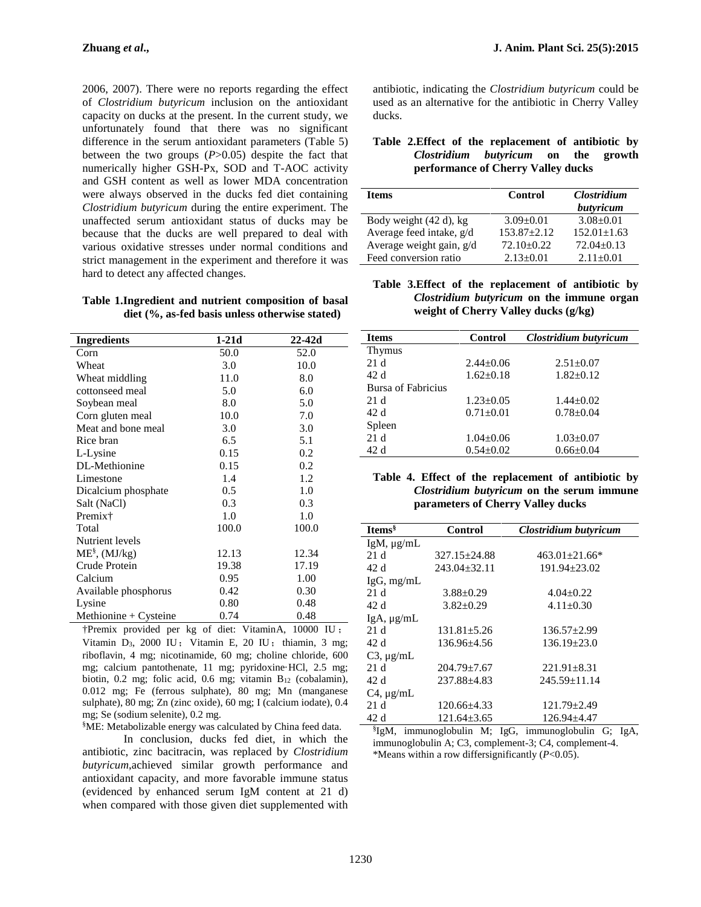2006, 2007). There were no reports regarding the effect of *Clostridium butyricum* inclusion on the antioxidant capacity on ducks at the present. In the current study, we unfortunately found that there was no significant difference in the serum antioxidant parameters (Table 5) between the two groups (*P*>0.05) despite the fact that numerically higher GSH-Px, SOD and T-AOC activity and GSH content as well as lower MDA concentration were always observed in the ducks fed diet containing *Clostridium butyricum* during the entire experiment. The unaffected serum antioxidant status of ducks may be because that the ducks are well prepared to deal with various oxidative stresses under normal conditions and strict management in the experiment and therefore it was hard to detect any affected changes.

**Table 1.Ingredient and nutrient composition of basal diet (%, as-fed basis unless otherwise stated)**

| <b>Ingredients</b>    | $1-21d$ | $22-42d$ |
|-----------------------|---------|----------|
| Corn                  | 50.0    | 52.0     |
| Wheat                 | 3.0     | 10.0     |
| Wheat middling        | 11.0    | 8.0      |
| cottonseed meal       | 5.0     | 6.0      |
| Soybean meal          | 8.0     | 5.0      |
| Corn gluten meal      | 10.0    | 7.0      |
| Meat and bone meal    | 3.0     | 3.0      |
| Rice bran             | 6.5     | 5.1      |
| L-Lysine              | 0.15    | 0.2      |
| DL-Methionine         | 0.15    | 0.2      |
| Limestone             | 1.4     | 1.2      |
| Dicalcium phosphate   | 0.5     | 1.0      |
| Salt (NaCl)           | 0.3     | 0.3      |
| Premix <sup>†</sup>   | 1.0     | 1.0      |
| Total                 | 100.0   | 100.0    |
| Nutrient levels       |         |          |
| $ME^{\S}$ , (MJ/kg)   | 12.13   | 12.34    |
| Crude Protein         | 19.38   | 17.19    |
| Calcium               | 0.95    | 1.00     |
| Available phosphorus  | 0.42    | 0.30     |
| Lysine                | 0.80    | 0.48     |
| Methionine + Cysteine | 0.74    | 0.48     |

†Premix provided per kg of diet: VitaminA, 10000 IU ; Vitamin D<sub>3</sub>, 2000 IU; Vitamin E, 20 IU; thiamin, 3 mg; riboflavin, 4 mg; nicotinamide, 60 mg; choline chloride, 600 mg; calcium pantothenate, 11 mg; pyridoxine·HCl, 2.5 mg; biotin, 0.2 mg; folic acid, 0.6 mg; vitamin B<sup>12</sup> (cobalamin), 0.012 mg; Fe (ferrous sulphate), 80 mg; Mn (manganese sulphate), 80 mg; Zn (zinc oxide), 60 mg; I (calcium iodate), 0.4 mg; Se (sodium selenite), 0.2 mg.

§ME: Metabolizable energy was calculated by China feed data.

In conclusion, ducks fed diet, in which the antibiotic, zinc bacitracin, was replaced by *Clostridium butyricum*,achieved similar growth performance and antioxidant capacity, and more favorable immune status (evidenced by enhanced serum IgM content at 21 d) when compared with those given diet supplemented with

antibiotic, indicating the *Clostridium butyricum* could be used as an alternative for the antibiotic in Cherry Valley ducks.

**Table 2.Effect of the replacement of antibiotic by** *Clostridium butyricum* **on the growth performance of Cherry Valley ducks**

| <b>Items</b>             | Control         | <i><b>Clostridium</b></i><br>butyricum |
|--------------------------|-----------------|----------------------------------------|
| Body weight (42 d), kg   | $3.09 + 0.01$   | $3.08 + 0.01$                          |
| Average feed intake, g/d | $153.87 + 2.12$ | $152.01 \pm 1.63$                      |
| Average weight gain, g/d | $72.10+0.22$    | $72.04 + 0.13$                         |
| Feed conversion ratio    | $2.13 \pm 0.01$ | $2.11 + 0.01$                          |

**Table 3.Effect of the replacement of antibiotic by** *Clostridium butyricum* **on the immune organ weight of Cherry Valley ducks (g/kg)**

| <b>Items</b>       | Control         | Clostridium butyricum |
|--------------------|-----------------|-----------------------|
| <b>Thymus</b>      |                 |                       |
| 21d                | $2.44 + 0.06$   | $2.51 + 0.07$         |
| 42 d               | $1.62+0.18$     | $1.82 + 0.12$         |
| Bursa of Fabricius |                 |                       |
| 21 d               | $1.23 \pm 0.05$ | $1.44 \pm 0.02$       |
| 42 d               | $0.71 + 0.01$   | $0.78 + 0.04$         |
| Spleen             |                 |                       |
| 21d                | $1.04 \pm 0.06$ | $1.03 \pm 0.07$       |
| 42 d               | $0.54 \pm 0.02$ | $0.66 \pm 0.04$       |

**Table 4. Effect of the replacement of antibiotic by** *Clostridium butyricum* **on the serum immune parameters of Cherry Valley ducks**

| <b>Items</b> <sup>§</sup> | Control           | Clostridium butyricum |
|---------------------------|-------------------|-----------------------|
| $IgM$ , $\mu$ g/mL        |                   |                       |
| 21 d                      | 327.15+24.88      | $463.01 \pm 21.66*$   |
| 42 d                      | $243.04 + 32.11$  | $191.94 + 23.02$      |
| IgG, mg/mL                |                   |                       |
| 21 d                      | $3.88 \pm 0.29$   | $4.04 + 0.22$         |
| 42 d                      | $3.82 + 0.29$     | $4.11 + 0.30$         |
| $IgA, \mu g/mL$           |                   |                       |
| 21 d                      | $131.81 \pm 5.26$ | $136.57 \pm 2.99$     |
| 42 d                      | $136.96 \pm 4.56$ | $136.19 + 23.0$       |
| $C3$ , $\mu$ g/mL         |                   |                       |
| 21d                       | $204.79 \pm 7.67$ | $221.91 \pm 8.31$     |
| 42 d                      | 237.88+4.83       | $245.59 \pm 11.14$    |
| $C4$ , $\mu$ g/mL         |                   |                       |
| 21 d                      | $120.66\pm4.33$   | $121.79 \pm 2.49$     |
| 42 d                      | $121.64 + 3.65$   | 126.94+4.47           |

§ IgM, immunoglobulin M; IgG, immunoglobulin G; IgA, immunoglobulin A; C3, complement-3; C4, complement-4. \*Means within a row differsignificantly (*P*<0.05).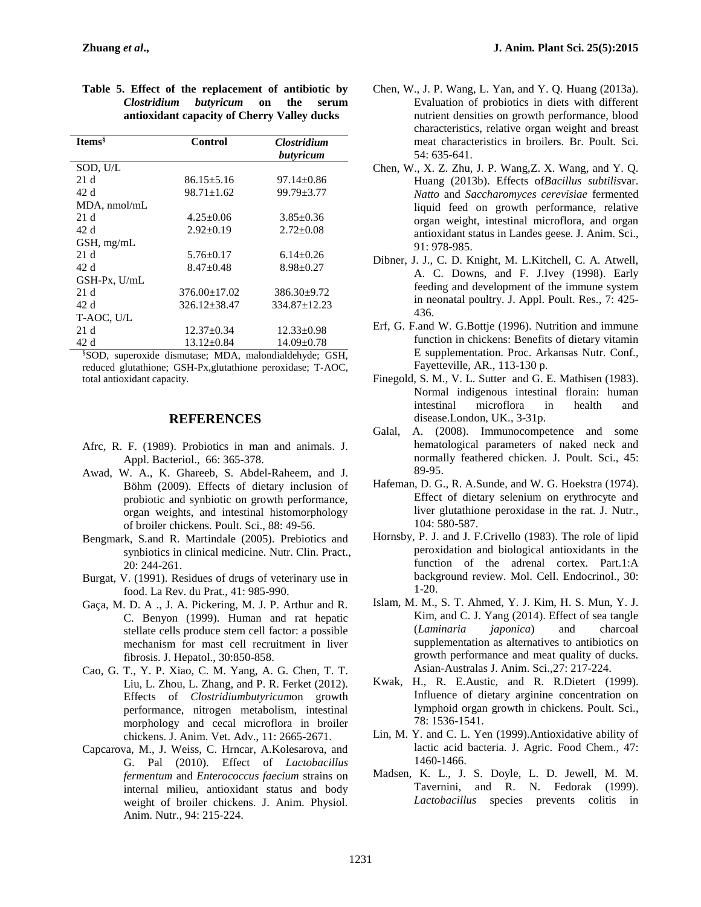| <b>Items</b> <sup>§</sup> | <b>Control</b>     | <b>Clostridium</b><br>butyricum  |      |
|---------------------------|--------------------|----------------------------------|------|
| SOD, U/L                  |                    |                                  | Che  |
| 21 d                      | $86.15 \pm 5.16$   | $97.14 \pm 0.86$                 |      |
| 42d                       | $98.71 \pm 1.62$   | $99.79 \pm 3.77$                 |      |
| $MDA$ , nmol/mL           |                    |                                  |      |
| 21 d                      | $4.25 \pm 0.06$    | $3.85 \pm 0.36$                  |      |
| 42 d                      | $2.92 \pm 0.19$    | $2.72 \pm 0.08$                  |      |
| $GSH$ , mg/mL             |                    |                                  |      |
| 21 d                      | $5.76 \pm 0.17$    | $6.14 \pm 0.26$                  | Dib  |
| 42 d                      | $8.47 \pm 0.48$    | $8.98 \pm 0.27$                  |      |
| $GSH-Px$ , $U/mL$         |                    |                                  |      |
| 21 d                      | $376.00 \pm 17.02$ | $386.30\pm9.72$                  |      |
| 42 d                      | $326.12 \pm 38.47$ | $334.87 \pm 12.23$               |      |
| T-AOC, U/L                |                    |                                  |      |
| 21 d                      | $12.37 \pm 0.34$   | $12.33 \pm 0.98$                 | Erf, |
| 42 d                      | $13.12 \pm 0.84$   | $14.09 \pm 0.78$                 |      |
| .<br>$s_{\alpha}$         |                    | .<br>$\sim$ $\sim$ $\sim$ $\sim$ |      |

**Table 5. Effect of the replacement of antibiotic by** *Clostridium butyricum* **on the serum antioxidant capacity of Cherry Valley ducks**

§SOD, superoxide dismutase; MDA, malondialdehyde; GSH, reduced glutathione; GSH-Px,glutathione peroxidase; T-AOC, total antioxidant capacity.

### **REFERENCES**

- Afrc, R. F. (1989). Probiotics in man and animals. J. Appl. Bacteriol., 66: 365-378.
- Awad, W. A., K. Ghareeb, S. Abdel-Raheem, and J. Böhm (2009). Effects of dietary inclusion of probiotic and synbiotic on growth performance, organ weights, and intestinal histomorphology of broiler chickens. Poult. Sci., 88: 49-56.
- Bengmark, S.and R. Martindale (2005). Prebiotics and synbiotics in clinical medicine. Nutr. Clin. Pract., 20: 244-261.
- Burgat, V. (1991). Residues of drugs of veterinary use in food. La Rev. du Prat., 41: 985-990.
- Gaça, M. D. A ., J. A. Pickering, M. J. P. Arthur and R. C. Benyon (1999). Human and rat hepatic stellate cells produce stem cell factor: a possible mechanism for mast cell recruitment in liver fibrosis. J. Hepatol., 30:850-858.
- Cao, G. T., Y. P. Xiao, C. M. Yang, A. G. Chen, T. T. Liu, L. Zhou, L. Zhang, and P. R. Ferket (2012). Effects of *Clostridiumbutyricum*on growth performance, nitrogen metabolism, intestinal morphology and cecal microflora in broiler chickens. J. Anim. Vet. Adv., 11: 2665-2671.
- Capcarova, M., J. Weiss, C. Hrncar, A.Kolesarova, and G. Pal (2010). Effect of *Lactobacillus fermentum* and *Enterococcus faecium* strains on internal milieu, antioxidant status and body weight of broiler chickens. J. Anim. Physiol. Anim. Nutr., 94: 215-224.
- Chen, W., J. P. Wang, L. Yan, and Y. Q. Huang (2013a). Evaluation of probiotics in diets with different nutrient densities on growth performance, blood characteristics, relative organ weight and breast meat characteristics in broilers. Br. Poult. Sci. 54: 635-641.
- Chen, W., X. Z. Zhu, J. P. Wang, Z. X. Wang, and Y. Q. Huang (2013b). Effects of*Bacillus subtilis*var. *Natto* and *Saccharomyces cerevisiae* fermented liquid feed on growth performance, relative organ weight, intestinal microflora, and organ antioxidant status in Landes geese. J. Anim. Sci., 91: 978-985.
- Dibner, J. J., C. D. Knight, M. L.Kitchell, C. A. Atwell, A. C. Downs, and F. J.Ivey (1998). Early feeding and development of the immune system in neonatal poultry. J. Appl. Poult. Res., 7: 425- 436.
- Erf, G. F.and W. G.Bottje (1996). Nutrition and immune function in chickens: Benefits of dietary vitamin E supplementation. Proc. Arkansas Nutr. Conf., Fayetteville, AR., 113-130 p.
- Finegold, S. M., V. L. Sutter and G. E. Mathisen (1983). Normal indigenous intestinal florain: human intestinal microflora in health and disease.London, UK., 3-31p.
- Galal, A. (2008). Immunocompetence and some hematological parameters of naked neck and normally feathered chicken. J. Poult. Sci., 45: 89-95.
- Hafeman, D. G., R. A.Sunde, and W. G. Hoekstra (1974). Effect of dietary selenium on erythrocyte and liver glutathione peroxidase in the rat. J. Nutr., 104: 580-587.
- Hornsby, P. J. and J. F.Crivello (1983). The role of lipid peroxidation and biological antioxidants in the function of the adrenal cortex. Part.1:A background review. Mol. Cell. Endocrinol., 30: 1-20.
- Islam, M. M., S. T. Ahmed, Y. J. Kim, H. S. Mun, Y. J. Kim, and C. J. Yang (2014). Effect of sea tangle (*Laminaria japonica*) and charcoal supplementation as alternatives to antibiotics on growth performance and meat quality of ducks. Asian-Australas J. Anim. Sci.,27: 217-224.
- Kwak, H., R. E.Austic, and R. R.Dietert (1999). Influence of dietary arginine concentration on lymphoid organ growth in chickens. Poult. Sci., 78: 1536-1541.
- Lin, M. Y. and C. L. Yen (1999).Antioxidative ability of lactic acid bacteria. J. Agric. Food Chem., 47: 1460-1466.
- Madsen, K. L., J. S. Doyle, L. D. Jewell, M. M. Tavernini, and R. N. Fedorak (1999). *Lactobacillus* species prevents colitis in